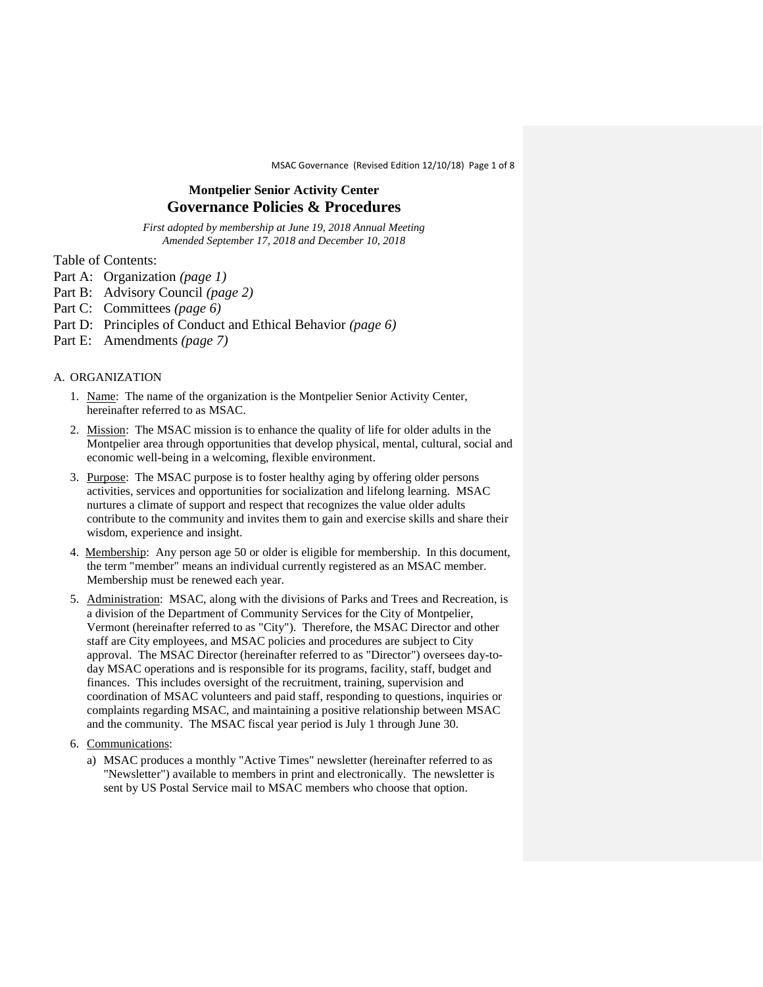MSAC Governance (Revised Edition 12/10/18) Page 1 of 8

# **Montpelier Senior Activity Center Governance Policies & Procedures**

*First adopted by membership at June 19, 2018 Annual Meeting Amended September 17, 2018 and December 10, 2018*

Table of Contents:

- Part A: Organization *(page 1)*
- Part B: Advisory Council *(page 2)*
- Part C: Committees *(page 6)*
- Part D: Principles of Conduct and Ethical Behavior *(page 6)*
- Part E: Amendments *(page 7)*

## A. ORGANIZATION

- 1. Name: The name of the organization is the Montpelier Senior Activity Center, hereinafter referred to as MSAC.
- 2. Mission: The MSAC mission is to enhance the quality of life for older adults in the Montpelier area through opportunities that develop physical, mental, cultural, social and economic well-being in a welcoming, flexible environment.
- 3. Purpose: The MSAC purpose is to foster healthy aging by offering older persons activities, services and opportunities for socialization and lifelong learning. MSAC nurtures a climate of support and respect that recognizes the value older adults contribute to the community and invites them to gain and exercise skills and share their wisdom, experience and insight.
- 4. Membership: Any person age 50 or older is eligible for membership. In this document, the term "member" means an individual currently registered as an MSAC member. Membership must be renewed each year.
- 5. Administration: MSAC, along with the divisions of Parks and Trees and Recreation, is a division of the Department of Community Services for the City of Montpelier, Vermont (hereinafter referred to as "City"). Therefore, the MSAC Director and other staff are City employees, and MSAC policies and procedures are subject to City approval. The MSAC Director (hereinafter referred to as "Director") oversees day-today MSAC operations and is responsible for its programs, facility, staff, budget and finances. This includes oversight of the recruitment, training, supervision and coordination of MSAC volunteers and paid staff, responding to questions, inquiries or complaints regarding MSAC, and maintaining a positive relationship between MSAC and the community. The MSAC fiscal year period is July 1 through June 30.
- 6. Communications:
	- a) MSAC produces a monthly "Active Times" newsletter (hereinafter referred to as "Newsletter") available to members in print and electronically. The newsletter is sent by US Postal Service mail to MSAC members who choose that option.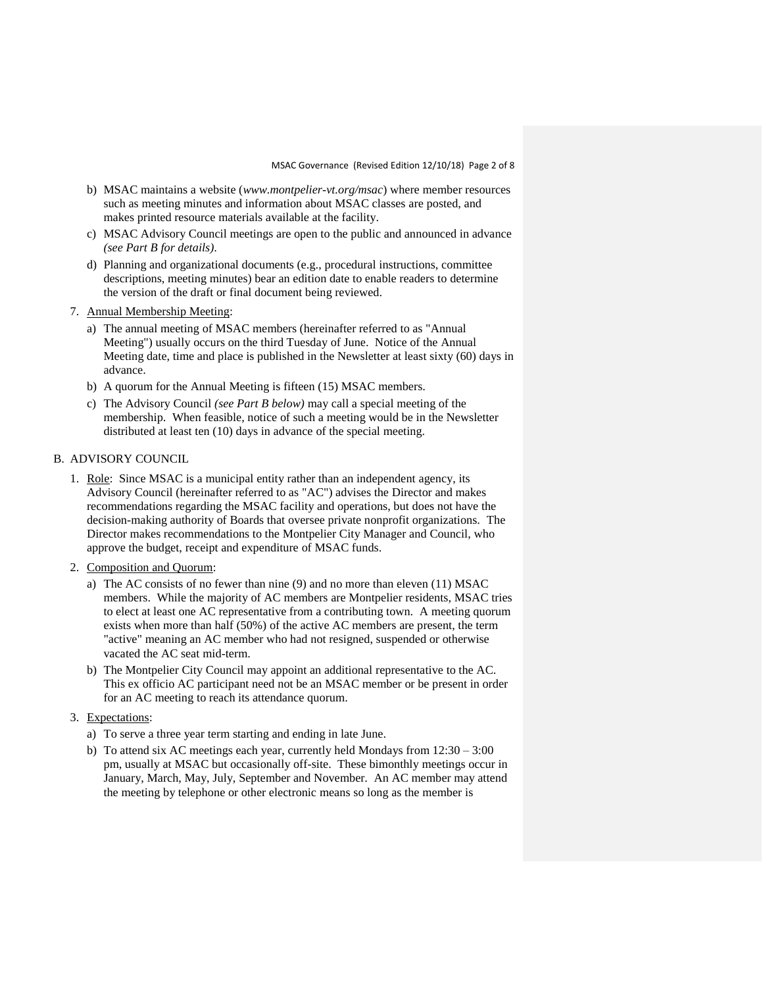- b) MSAC maintains a website (*www.montpelier-vt.org/msac*) where member resources such as meeting minutes and information about MSAC classes are posted, and makes printed resource materials available at the facility.
- c) MSAC Advisory Council meetings are open to the public and announced in advance *(see Part B for details)*.
- d) Planning and organizational documents (e.g., procedural instructions, committee descriptions, meeting minutes) bear an edition date to enable readers to determine the version of the draft or final document being reviewed.
- 7. Annual Membership Meeting:
	- a) The annual meeting of MSAC members (hereinafter referred to as "Annual Meeting") usually occurs on the third Tuesday of June. Notice of the Annual Meeting date, time and place is published in the Newsletter at least sixty (60) days in advance.
	- b) A quorum for the Annual Meeting is fifteen (15) MSAC members.
	- c) The Advisory Council *(see Part B below)* may call a special meeting of the membership. When feasible, notice of such a meeting would be in the Newsletter distributed at least ten (10) days in advance of the special meeting.

## B. ADVISORY COUNCIL

- 1. Role: Since MSAC is a municipal entity rather than an independent agency, its Advisory Council (hereinafter referred to as "AC") advises the Director and makes recommendations regarding the MSAC facility and operations, but does not have the decision-making authority of Boards that oversee private nonprofit organizations. The Director makes recommendations to the Montpelier City Manager and Council, who approve the budget, receipt and expenditure of MSAC funds.
- 2. Composition and Quorum:
	- a) The AC consists of no fewer than nine (9) and no more than eleven (11) MSAC members. While the majority of AC members are Montpelier residents, MSAC tries to elect at least one AC representative from a contributing town. A meeting quorum exists when more than half (50%) of the active AC members are present, the term "active" meaning an AC member who had not resigned, suspended or otherwise vacated the AC seat mid-term.
	- b) The Montpelier City Council may appoint an additional representative to the AC. This ex officio AC participant need not be an MSAC member or be present in order for an AC meeting to reach its attendance quorum.
- 3. Expectations:
	- a) To serve a three year term starting and ending in late June.
	- b) To attend six AC meetings each year, currently held Mondays from  $12:30 3:00$ pm, usually at MSAC but occasionally off-site. These bimonthly meetings occur in January, March, May, July, September and November. An AC member may attend the meeting by telephone or other electronic means so long as the member is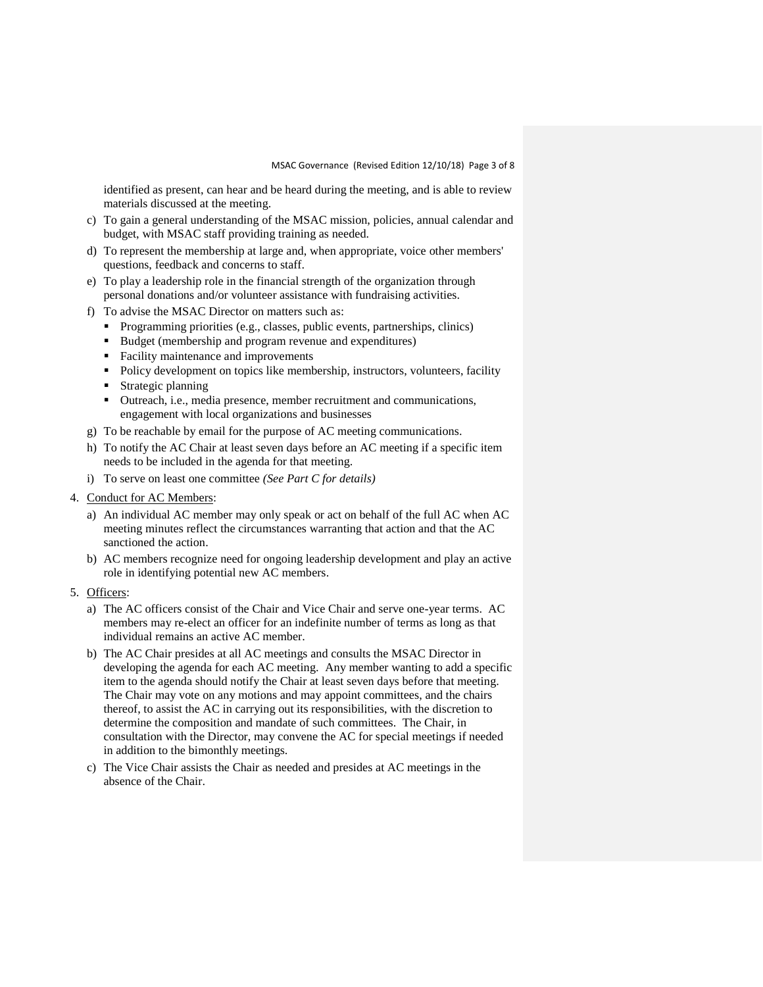identified as present, can hear and be heard during the meeting, and is able to review materials discussed at the meeting.

- c) To gain a general understanding of the MSAC mission, policies, annual calendar and budget, with MSAC staff providing training as needed.
- d) To represent the membership at large and, when appropriate, voice other members' questions, feedback and concerns to staff.
- e) To play a leadership role in the financial strength of the organization through personal donations and/or volunteer assistance with fundraising activities.
- f) To advise the MSAC Director on matters such as:
	- Programming priorities (e.g., classes, public events, partnerships, clinics)
	- Budget (membership and program revenue and expenditures)
	- Facility maintenance and improvements
	- Policy development on topics like membership, instructors, volunteers, facility
	- Strategic planning
	- Outreach, i.e., media presence, member recruitment and communications, engagement with local organizations and businesses
- g) To be reachable by email for the purpose of AC meeting communications.
- h) To notify the AC Chair at least seven days before an AC meeting if a specific item needs to be included in the agenda for that meeting.
- i) To serve on least one committee *(See Part C for details)*
- 4. Conduct for AC Members:
	- a) An individual AC member may only speak or act on behalf of the full AC when AC meeting minutes reflect the circumstances warranting that action and that the AC sanctioned the action.
	- b) AC members recognize need for ongoing leadership development and play an active role in identifying potential new AC members.
- 5. Officers:
	- a) The AC officers consist of the Chair and Vice Chair and serve one-year terms. AC members may re-elect an officer for an indefinite number of terms as long as that individual remains an active AC member.
	- b) The AC Chair presides at all AC meetings and consults the MSAC Director in developing the agenda for each AC meeting. Any member wanting to add a specific item to the agenda should notify the Chair at least seven days before that meeting. The Chair may vote on any motions and may appoint committees, and the chairs thereof, to assist the AC in carrying out its responsibilities, with the discretion to determine the composition and mandate of such committees. The Chair, in consultation with the Director, may convene the AC for special meetings if needed in addition to the bimonthly meetings.
	- c) The Vice Chair assists the Chair as needed and presides at AC meetings in the absence of the Chair.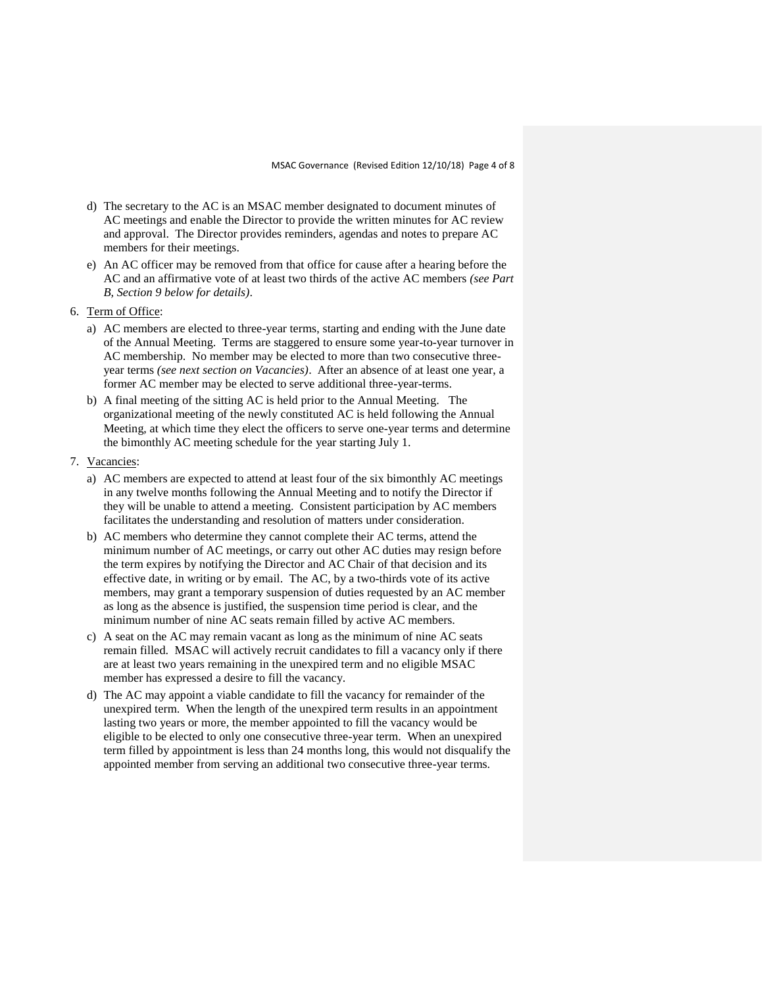- d) The secretary to the AC is an MSAC member designated to document minutes of AC meetings and enable the Director to provide the written minutes for AC review and approval. The Director provides reminders, agendas and notes to prepare AC members for their meetings.
- e) An AC officer may be removed from that office for cause after a hearing before the AC and an affirmative vote of at least two thirds of the active AC members *(see Part B, Section 9 below for details)*.
- 6. Term of Office:
	- a) AC members are elected to three-year terms, starting and ending with the June date of the Annual Meeting. Terms are staggered to ensure some year-to-year turnover in AC membership. No member may be elected to more than two consecutive threeyear terms *(see next section on Vacancies)*. After an absence of at least one year, a former AC member may be elected to serve additional three-year-terms.
	- b) A final meeting of the sitting AC is held prior to the Annual Meeting. The organizational meeting of the newly constituted AC is held following the Annual Meeting, at which time they elect the officers to serve one-year terms and determine the bimonthly AC meeting schedule for the year starting July 1.
- 7. Vacancies:
	- a) AC members are expected to attend at least four of the six bimonthly AC meetings in any twelve months following the Annual Meeting and to notify the Director if they will be unable to attend a meeting. Consistent participation by AC members facilitates the understanding and resolution of matters under consideration.
	- b) AC members who determine they cannot complete their AC terms, attend the minimum number of AC meetings, or carry out other AC duties may resign before the term expires by notifying the Director and AC Chair of that decision and its effective date, in writing or by email. The AC, by a two-thirds vote of its active members, may grant a temporary suspension of duties requested by an AC member as long as the absence is justified, the suspension time period is clear, and the minimum number of nine AC seats remain filled by active AC members.
	- c) A seat on the AC may remain vacant as long as the minimum of nine AC seats remain filled. MSAC will actively recruit candidates to fill a vacancy only if there are at least two years remaining in the unexpired term and no eligible MSAC member has expressed a desire to fill the vacancy.
	- d) The AC may appoint a viable candidate to fill the vacancy for remainder of the unexpired term. When the length of the unexpired term results in an appointment lasting two years or more, the member appointed to fill the vacancy would be eligible to be elected to only one consecutive three-year term. When an unexpired term filled by appointment is less than 24 months long, this would not disqualify the appointed member from serving an additional two consecutive three-year terms.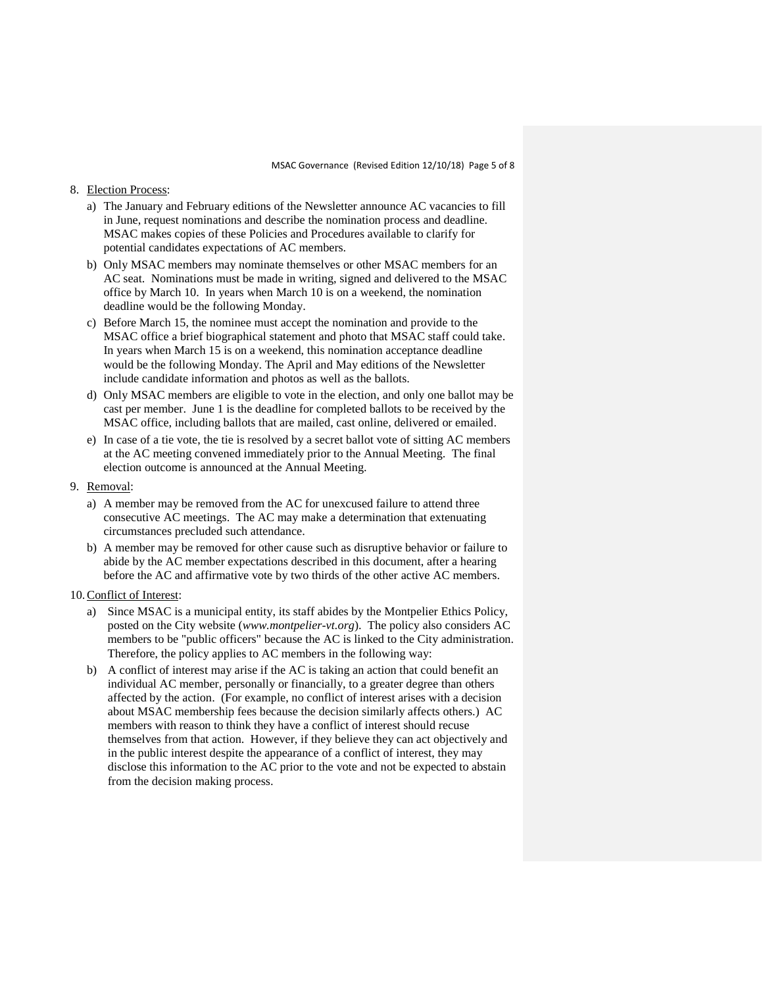#### 8. Election Process:

- a) The January and February editions of the Newsletter announce AC vacancies to fill in June, request nominations and describe the nomination process and deadline. MSAC makes copies of these Policies and Procedures available to clarify for potential candidates expectations of AC members.
- b) Only MSAC members may nominate themselves or other MSAC members for an AC seat. Nominations must be made in writing, signed and delivered to the MSAC office by March 10. In years when March 10 is on a weekend, the nomination deadline would be the following Monday.
- c) Before March 15, the nominee must accept the nomination and provide to the MSAC office a brief biographical statement and photo that MSAC staff could take. In years when March 15 is on a weekend, this nomination acceptance deadline would be the following Monday. The April and May editions of the Newsletter include candidate information and photos as well as the ballots.
- d) Only MSAC members are eligible to vote in the election, and only one ballot may be cast per member. June 1 is the deadline for completed ballots to be received by the MSAC office, including ballots that are mailed, cast online, delivered or emailed.
- e) In case of a tie vote, the tie is resolved by a secret ballot vote of sitting AC members at the AC meeting convened immediately prior to the Annual Meeting. The final election outcome is announced at the Annual Meeting.
- 9. Removal:
	- a) A member may be removed from the AC for unexcused failure to attend three consecutive AC meetings. The AC may make a determination that extenuating circumstances precluded such attendance.
	- b) A member may be removed for other cause such as disruptive behavior or failure to abide by the AC member expectations described in this document, after a hearing before the AC and affirmative vote by two thirds of the other active AC members.

### 10.Conflict of Interest:

- a) Since MSAC is a municipal entity, its staff abides by the Montpelier Ethics Policy, posted on the City website (*www.montpelier-vt.org*). The policy also considers AC members to be "public officers" because the AC is linked to the City administration. Therefore, the policy applies to AC members in the following way:
- b) A conflict of interest may arise if the AC is taking an action that could benefit an individual AC member, personally or financially, to a greater degree than others affected by the action. (For example, no conflict of interest arises with a decision about MSAC membership fees because the decision similarly affects others.) AC members with reason to think they have a conflict of interest should recuse themselves from that action. However, if they believe they can act objectively and in the public interest despite the appearance of a conflict of interest, they may disclose this information to the AC prior to the vote and not be expected to abstain from the decision making process.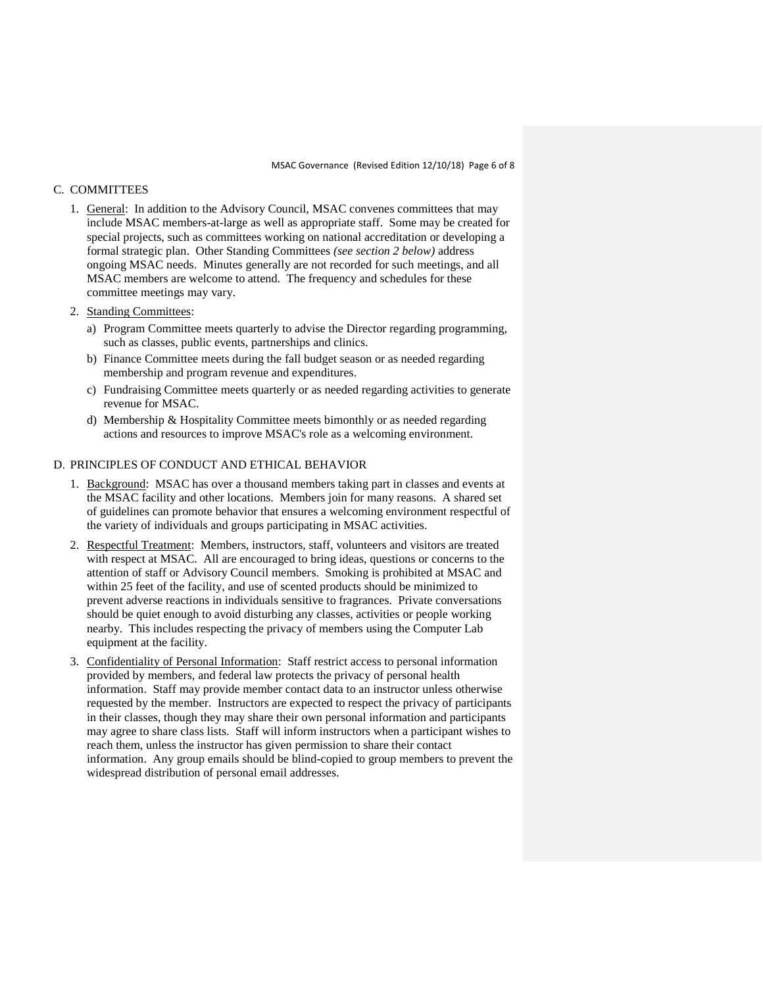## C. COMMITTEES

- 1. General: In addition to the Advisory Council, MSAC convenes committees that may include MSAC members-at-large as well as appropriate staff. Some may be created for special projects, such as committees working on national accreditation or developing a formal strategic plan. Other Standing Committees *(see section 2 below)* address ongoing MSAC needs. Minutes generally are not recorded for such meetings, and all MSAC members are welcome to attend. The frequency and schedules for these committee meetings may vary.
- 2. Standing Committees:
	- a) Program Committee meets quarterly to advise the Director regarding programming, such as classes, public events, partnerships and clinics.
	- b) Finance Committee meets during the fall budget season or as needed regarding membership and program revenue and expenditures.
	- c) Fundraising Committee meets quarterly or as needed regarding activities to generate revenue for MSAC.
	- d) Membership & Hospitality Committee meets bimonthly or as needed regarding actions and resources to improve MSAC's role as a welcoming environment.

### D. PRINCIPLES OF CONDUCT AND ETHICAL BEHAVIOR

- 1. Background: MSAC has over a thousand members taking part in classes and events at the MSAC facility and other locations. Members join for many reasons. A shared set of guidelines can promote behavior that ensures a welcoming environment respectful of the variety of individuals and groups participating in MSAC activities.
- 2. Respectful Treatment: Members, instructors, staff, volunteers and visitors are treated with respect at MSAC. All are encouraged to bring ideas, questions or concerns to the attention of staff or Advisory Council members. Smoking is prohibited at MSAC and within 25 feet of the facility, and use of scented products should be minimized to prevent adverse reactions in individuals sensitive to fragrances. Private conversations should be quiet enough to avoid disturbing any classes, activities or people working nearby. This includes respecting the privacy of members using the Computer Lab equipment at the facility.
- 3. Confidentiality of Personal Information: Staff restrict access to personal information provided by members, and federal law protects the privacy of personal health information. Staff may provide member contact data to an instructor unless otherwise requested by the member. Instructors are expected to respect the privacy of participants in their classes, though they may share their own personal information and participants may agree to share class lists. Staff will inform instructors when a participant wishes to reach them, unless the instructor has given permission to share their contact information. Any group emails should be blind-copied to group members to prevent the widespread distribution of personal email addresses.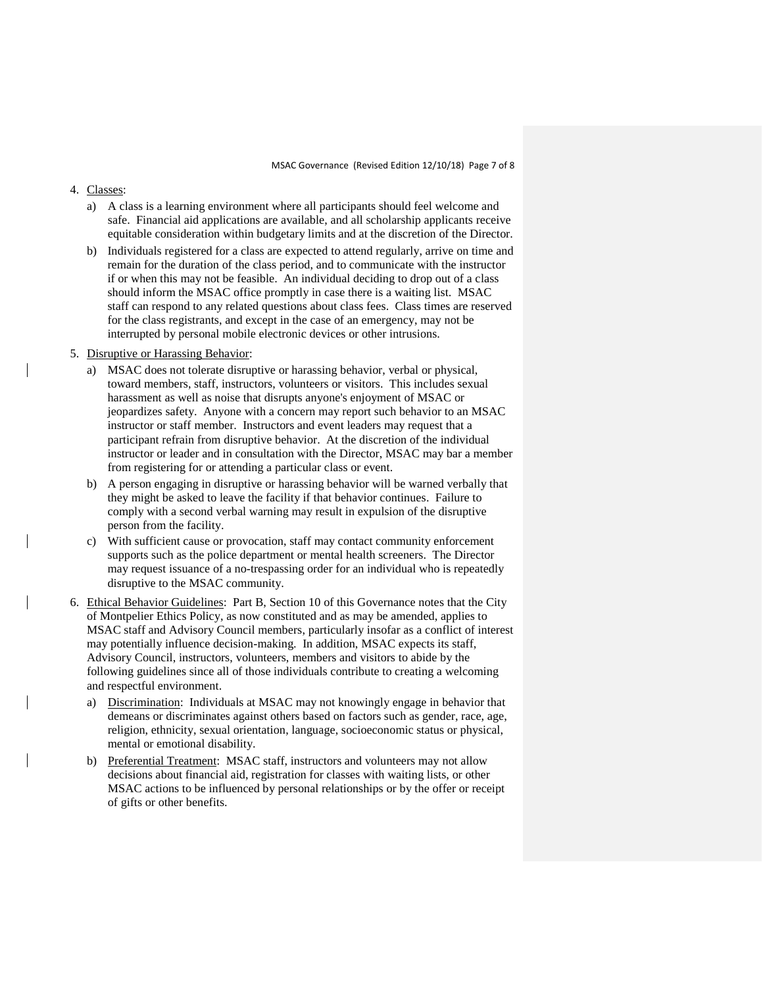#### 4. Classes:

- a) A class is a learning environment where all participants should feel welcome and safe. Financial aid applications are available, and all scholarship applicants receive equitable consideration within budgetary limits and at the discretion of the Director.
- b) Individuals registered for a class are expected to attend regularly, arrive on time and remain for the duration of the class period, and to communicate with the instructor if or when this may not be feasible. An individual deciding to drop out of a class should inform the MSAC office promptly in case there is a waiting list. MSAC staff can respond to any related questions about class fees. Class times are reserved for the class registrants, and except in the case of an emergency, may not be interrupted by personal mobile electronic devices or other intrusions.

#### 5. Disruptive or Harassing Behavior:

- a) MSAC does not tolerate disruptive or harassing behavior, verbal or physical, toward members, staff, instructors, volunteers or visitors. This includes sexual harassment as well as noise that disrupts anyone's enjoyment of MSAC or jeopardizes safety. Anyone with a concern may report such behavior to an MSAC instructor or staff member. Instructors and event leaders may request that a participant refrain from disruptive behavior. At the discretion of the individual instructor or leader and in consultation with the Director, MSAC may bar a member from registering for or attending a particular class or event.
- b) A person engaging in disruptive or harassing behavior will be warned verbally that they might be asked to leave the facility if that behavior continues. Failure to comply with a second verbal warning may result in expulsion of the disruptive person from the facility.
- c) With sufficient cause or provocation, staff may contact community enforcement supports such as the police department or mental health screeners. The Director may request issuance of a no-trespassing order for an individual who is repeatedly disruptive to the MSAC community.
- 6. Ethical Behavior Guidelines: Part B, Section 10 of this Governance notes that the City of Montpelier Ethics Policy, as now constituted and as may be amended, applies to MSAC staff and Advisory Council members, particularly insofar as a conflict of interest may potentially influence decision-making. In addition, MSAC expects its staff, Advisory Council, instructors, volunteers, members and visitors to abide by the following guidelines since all of those individuals contribute to creating a welcoming and respectful environment.
	- a) Discrimination: Individuals at MSAC may not knowingly engage in behavior that demeans or discriminates against others based on factors such as gender, race, age, religion, ethnicity, sexual orientation, language, socioeconomic status or physical, mental or emotional disability.
	- b) Preferential Treatment: MSAC staff, instructors and volunteers may not allow decisions about financial aid, registration for classes with waiting lists, or other MSAC actions to be influenced by personal relationships or by the offer or receipt of gifts or other benefits.